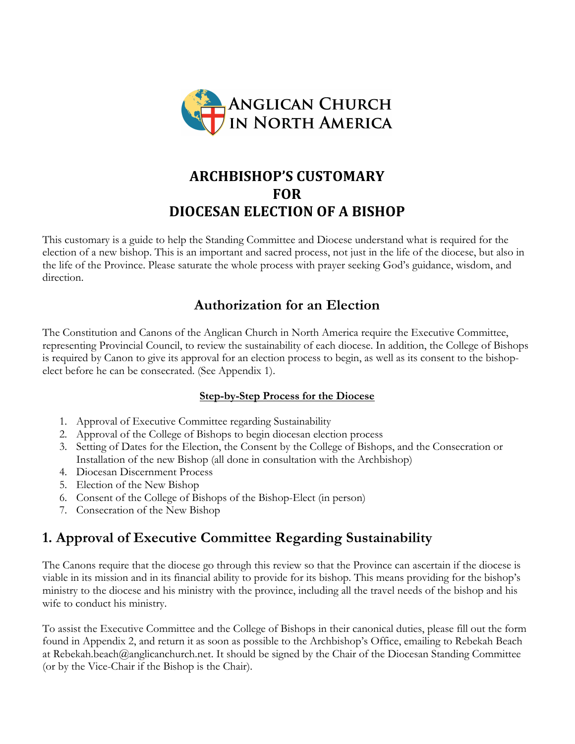

# **ARCHBISHOP'S CUSTOMARY FOR DIOCESAN ELECTION OF A BISHOP**

This customary is a guide to help the Standing Committee and Diocese understand what is required for the election of a new bishop. This is an important and sacred process, not just in the life of the diocese, but also in the life of the Province. Please saturate the whole process with prayer seeking God's guidance, wisdom, and direction.

## **Authorization for an Election**

The Constitution and Canons of the Anglican Church in North America require the Executive Committee, representing Provincial Council, to review the sustainability of each diocese. In addition, the College of Bishops is required by Canon to give its approval for an election process to begin, as well as its consent to the bishopelect before he can be consecrated. (See Appendix 1).

## **Step-by-Step Process for the Diocese**

- 1. Approval of Executive Committee regarding Sustainability
- 2. Approval of the College of Bishops to begin diocesan election process
- 3. Setting of Dates for the Election, the Consent by the College of Bishops, and the Consecration or Installation of the new Bishop (all done in consultation with the Archbishop)
- 4. Diocesan Discernment Process
- 5. Election of the New Bishop
- 6. Consent of the College of Bishops of the Bishop-Elect (in person)
- 7. Consecration of the New Bishop

# **1. Approval of Executive Committee Regarding Sustainability**

The Canons require that the diocese go through this review so that the Province can ascertain if the diocese is viable in its mission and in its financial ability to provide for its bishop. This means providing for the bishop's ministry to the diocese and his ministry with the province, including all the travel needs of the bishop and his wife to conduct his ministry.

To assist the Executive Committee and the College of Bishops in their canonical duties, please fill out the form found in Appendix 2, and return it as soon as possible to the Archbishop's Office, emailing to Rebekah Beach at Rebekah.beach@anglicanchurch.net. It should be signed by the Chair of the Diocesan Standing Committee (or by the Vice-Chair if the Bishop is the Chair).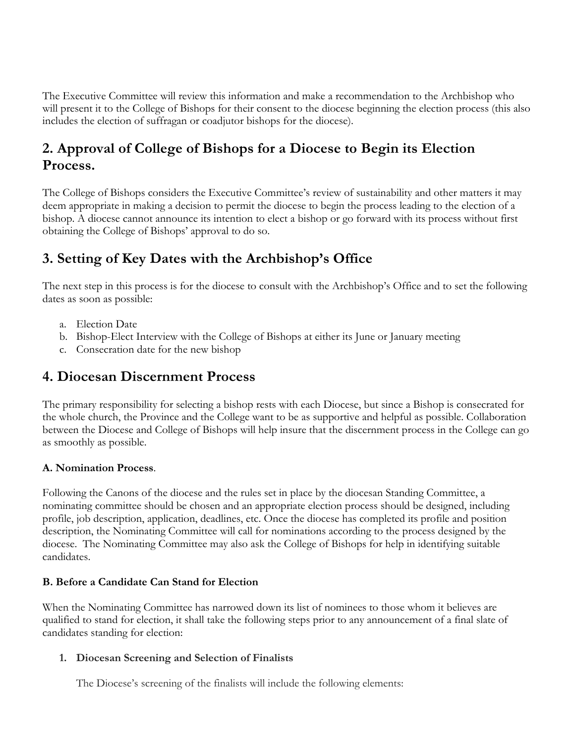The Executive Committee will review this information and make a recommendation to the Archbishop who will present it to the College of Bishops for their consent to the diocese beginning the election process (this also includes the election of suffragan or coadjutor bishops for the diocese).

## **2. Approval of College of Bishops for a Diocese to Begin its Election Process.**

The College of Bishops considers the Executive Committee's review of sustainability and other matters it may deem appropriate in making a decision to permit the diocese to begin the process leading to the election of a bishop. A diocese cannot announce its intention to elect a bishop or go forward with its process without first obtaining the College of Bishops' approval to do so.

## **3. Setting of Key Dates with the Archbishop's Office**

The next step in this process is for the diocese to consult with the Archbishop's Office and to set the following dates as soon as possible:

- a. Election Date
- b. Bishop-Elect Interview with the College of Bishops at either its June or January meeting
- c. Consecration date for the new bishop

## **4. Diocesan Discernment Process**

The primary responsibility for selecting a bishop rests with each Diocese, but since a Bishop is consecrated for the whole church, the Province and the College want to be as supportive and helpful as possible. Collaboration between the Diocese and College of Bishops will help insure that the discernment process in the College can go as smoothly as possible.

## **A. Nomination Process**.

Following the Canons of the diocese and the rules set in place by the diocesan Standing Committee, a nominating committee should be chosen and an appropriate election process should be designed, including profile, job description, application, deadlines, etc. Once the diocese has completed its profile and position description, the Nominating Committee will call for nominations according to the process designed by the diocese. The Nominating Committee may also ask the College of Bishops for help in identifying suitable candidates.

### **B. Before a Candidate Can Stand for Election**

When the Nominating Committee has narrowed down its list of nominees to those whom it believes are qualified to stand for election, it shall take the following steps prior to any announcement of a final slate of candidates standing for election:

### **1. Diocesan Screening and Selection of Finalists**

The Diocese's screening of the finalists will include the following elements: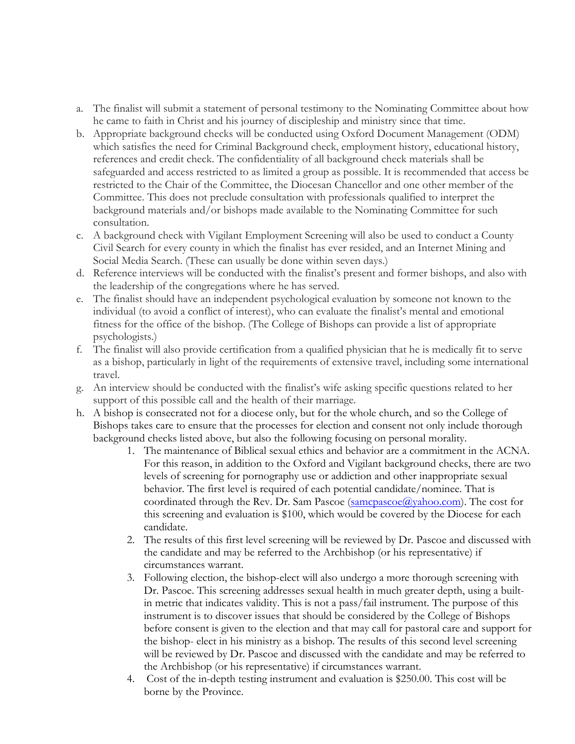- a. The finalist will submit a statement of personal testimony to the Nominating Committee about how he came to faith in Christ and his journey of discipleship and ministry since that time.
- b. Appropriate background checks will be conducted using Oxford Document Management (ODM) which satisfies the need for Criminal Background check, employment history, educational history, references and credit check. The confidentiality of all background check materials shall be safeguarded and access restricted to as limited a group as possible. It is recommended that access be restricted to the Chair of the Committee, the Diocesan Chancellor and one other member of the Committee. This does not preclude consultation with professionals qualified to interpret the background materials and/or bishops made available to the Nominating Committee for such consultation.
- c. A background check with Vigilant Employment Screening will also be used to conduct a County Civil Search for every county in which the finalist has ever resided, and an Internet Mining and Social Media Search. (These can usually be done within seven days.)
- d. Reference interviews will be conducted with the finalist's present and former bishops, and also with the leadership of the congregations where he has served.
- e. The finalist should have an independent psychological evaluation by someone not known to the individual (to avoid a conflict of interest), who can evaluate the finalist's mental and emotional fitness for the office of the bishop. (The College of Bishops can provide a list of appropriate psychologists.)
- f. The finalist will also provide certification from a qualified physician that he is medically fit to serve as a bishop, particularly in light of the requirements of extensive travel, including some international travel.
- g. An interview should be conducted with the finalist's wife asking specific questions related to her support of this possible call and the health of their marriage.
- h. A bishop is consecrated not for a diocese only, but for the whole church, and so the College of Bishops takes care to ensure that the processes for election and consent not only include thorough background checks listed above, but also the following focusing on personal morality.
	- 1. The maintenance of Biblical sexual ethics and behavior are a commitment in the ACNA. For this reason, in addition to the Oxford and Vigilant background checks, there are two levels of screening for pornography use or addiction and other inappropriate sexual behavior. The first level is required of each potential candidate/nominee. That is coordinated through the Rev. Dr. Sam Pascoe  $(s\text{amcpascoe}(a)\text{yaho.o.com})$ . The cost for this screening and evaluation is \$100, which would be covered by the Diocese for each candidate.
	- 2. The results of this first level screening will be reviewed by Dr. Pascoe and discussed with the candidate and may be referred to the Archbishop (or his representative) if circumstances warrant.
	- 3. Following election, the bishop-elect will also undergo a more thorough screening with Dr. Pascoe. This screening addresses sexual health in much greater depth, using a builtin metric that indicates validity. This is not a pass/fail instrument. The purpose of this instrument is to discover issues that should be considered by the College of Bishops before consent is given to the election and that may call for pastoral care and support for the bishop- elect in his ministry as a bishop. The results of this second level screening will be reviewed by Dr. Pascoe and discussed with the candidate and may be referred to the Archbishop (or his representative) if circumstances warrant.
	- 4. Cost of the in-depth testing instrument and evaluation is \$250.00. This cost will be borne by the Province.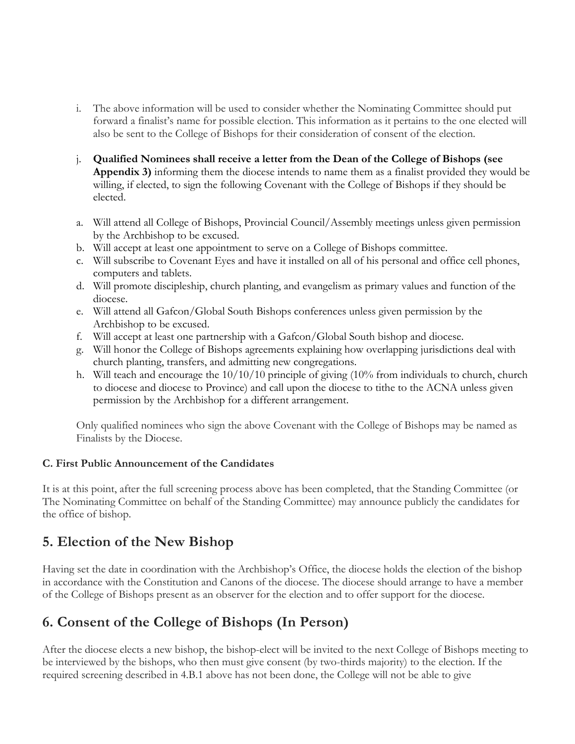- i. The above information will be used to consider whether the Nominating Committee should put forward a finalist's name for possible election. This information as it pertains to the one elected will also be sent to the College of Bishops for their consideration of consent of the election.
- j. **Qualified Nominees shall receive a letter from the Dean of the College of Bishops (see Appendix 3)** informing them the diocese intends to name them as a finalist provided they would be willing, if elected, to sign the following Covenant with the College of Bishops if they should be elected.
- a. Will attend all College of Bishops, Provincial Council/Assembly meetings unless given permission by the Archbishop to be excused.
- b. Will accept at least one appointment to serve on a College of Bishops committee.
- c. Will subscribe to Covenant Eyes and have it installed on all of his personal and office cell phones, computers and tablets.
- d. Will promote discipleship, church planting, and evangelism as primary values and function of the diocese.
- e. Will attend all Gafcon/Global South Bishops conferences unless given permission by the Archbishop to be excused.
- f. Will accept at least one partnership with a Gafcon/Global South bishop and diocese.
- g. Will honor the College of Bishops agreements explaining how overlapping jurisdictions deal with church planting, transfers, and admitting new congregations.
- h. Will teach and encourage the 10/10/10 principle of giving (10% from individuals to church, church to diocese and diocese to Province) and call upon the diocese to tithe to the ACNA unless given permission by the Archbishop for a different arrangement.

Only qualified nominees who sign the above Covenant with the College of Bishops may be named as Finalists by the Diocese.

## **C. First Public Announcement of the Candidates**

It is at this point, after the full screening process above has been completed, that the Standing Committee (or The Nominating Committee on behalf of the Standing Committee) may announce publicly the candidates for the office of bishop.

## **5. Election of the New Bishop**

Having set the date in coordination with the Archbishop's Office, the diocese holds the election of the bishop in accordance with the Constitution and Canons of the diocese. The diocese should arrange to have a member of the College of Bishops present as an observer for the election and to offer support for the diocese.

## **6. Consent of the College of Bishops (In Person)**

After the diocese elects a new bishop, the bishop-elect will be invited to the next College of Bishops meeting to be interviewed by the bishops, who then must give consent (by two-thirds majority) to the election. If the required screening described in 4.B.1 above has not been done, the College will not be able to give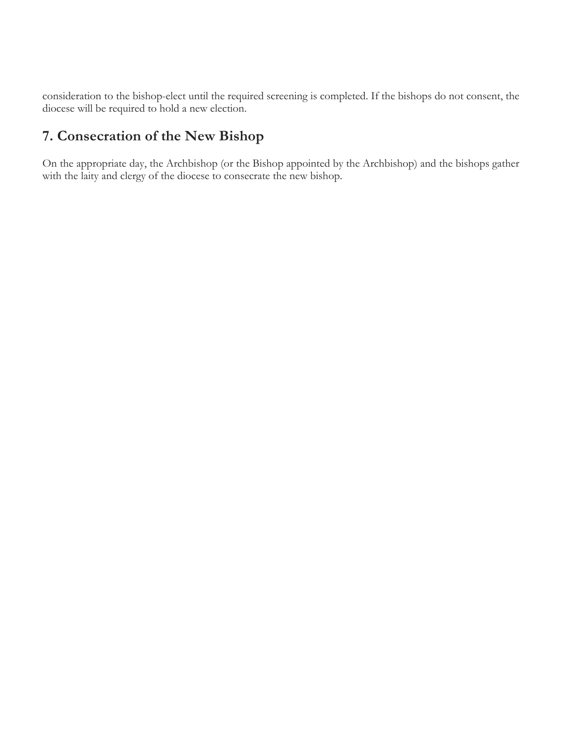consideration to the bishop-elect until the required screening is completed. If the bishops do not consent, the diocese will be required to hold a new election.

# **7. Consecration of the New Bishop**

On the appropriate day, the Archbishop (or the Bishop appointed by the Archbishop) and the bishops gather with the laity and clergy of the diocese to consecrate the new bishop.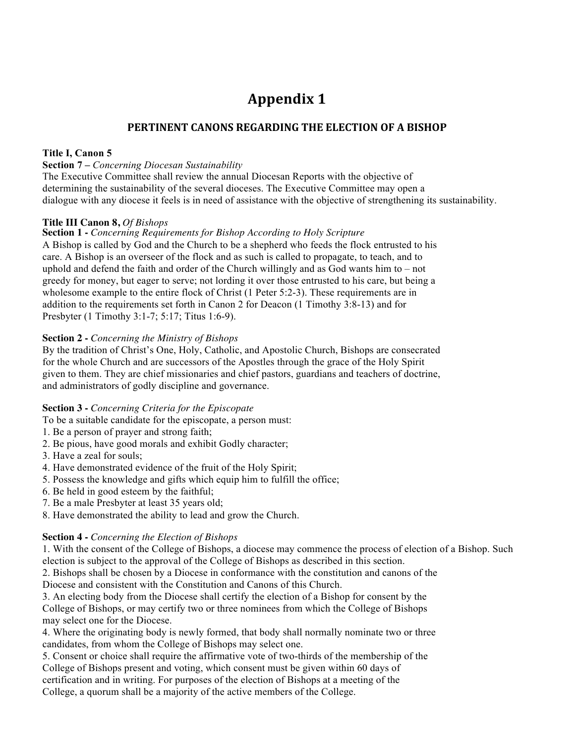# **Appendix 1**

### **PERTINENT CANONS REGARDING THE ELECTION OF A BISHOP**

#### **Title I, Canon 5**

#### **Section 7 –** *Concerning Diocesan Sustainability*

The Executive Committee shall review the annual Diocesan Reports with the objective of determining the sustainability of the several dioceses. The Executive Committee may open a dialogue with any diocese it feels is in need of assistance with the objective of strengthening its sustainability.

#### **Title III Canon 8,** *Of Bishops*

#### **Section 1 -** *Concerning Requirements for Bishop According to Holy Scripture*

A Bishop is called by God and the Church to be a shepherd who feeds the flock entrusted to his care. A Bishop is an overseer of the flock and as such is called to propagate, to teach, and to uphold and defend the faith and order of the Church willingly and as God wants him to – not greedy for money, but eager to serve; not lording it over those entrusted to his care, but being a wholesome example to the entire flock of Christ (1 Peter 5:2-3). These requirements are in addition to the requirements set forth in Canon 2 for Deacon (1 Timothy 3:8-13) and for Presbyter (1 Timothy 3:1-7; 5:17; Titus 1:6-9).

#### **Section 2 -** *Concerning the Ministry of Bishops*

By the tradition of Christ's One, Holy, Catholic, and Apostolic Church, Bishops are consecrated for the whole Church and are successors of the Apostles through the grace of the Holy Spirit given to them. They are chief missionaries and chief pastors, guardians and teachers of doctrine, and administrators of godly discipline and governance.

#### **Section 3 -** *Concerning Criteria for the Episcopate*

To be a suitable candidate for the episcopate, a person must:

- 1. Be a person of prayer and strong faith;
- 2. Be pious, have good morals and exhibit Godly character;
- 3. Have a zeal for souls;
- 4. Have demonstrated evidence of the fruit of the Holy Spirit;
- 5. Possess the knowledge and gifts which equip him to fulfill the office;
- 6. Be held in good esteem by the faithful;
- 7. Be a male Presbyter at least 35 years old;
- 8. Have demonstrated the ability to lead and grow the Church.

#### **Section 4 -** *Concerning the Election of Bishops*

1. With the consent of the College of Bishops, a diocese may commence the process of election of a Bishop. Such election is subject to the approval of the College of Bishops as described in this section.

2. Bishops shall be chosen by a Diocese in conformance with the constitution and canons of the Diocese and consistent with the Constitution and Canons of this Church.

3. An electing body from the Diocese shall certify the election of a Bishop for consent by the College of Bishops, or may certify two or three nominees from which the College of Bishops may select one for the Diocese.

4. Where the originating body is newly formed, that body shall normally nominate two or three candidates, from whom the College of Bishops may select one.

5. Consent or choice shall require the affirmative vote of two-thirds of the membership of the College of Bishops present and voting, which consent must be given within 60 days of certification and in writing. For purposes of the election of Bishops at a meeting of the College, a quorum shall be a majority of the active members of the College.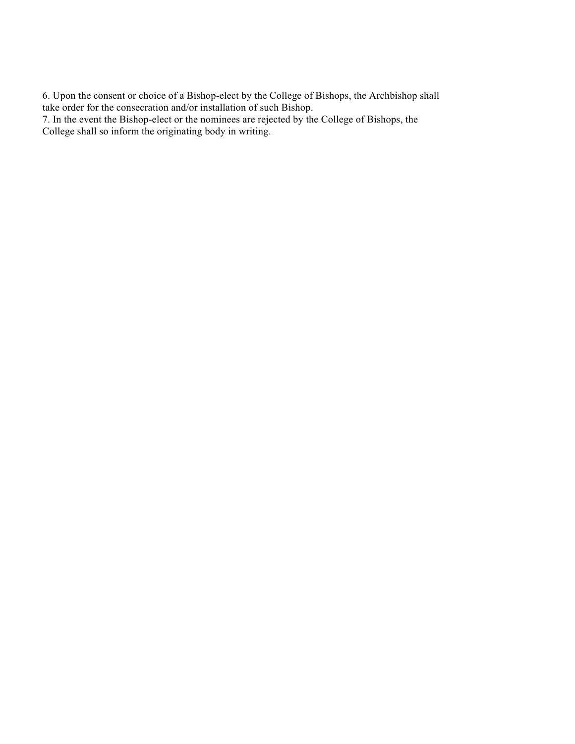6. Upon the consent or choice of a Bishop-elect by the College of Bishops, the Archbishop shall take order for the consecration and/or installation of such Bishop.

7. In the event the Bishop-elect or the nominees are rejected by the College of Bishops, the College shall so inform the originating body in writing.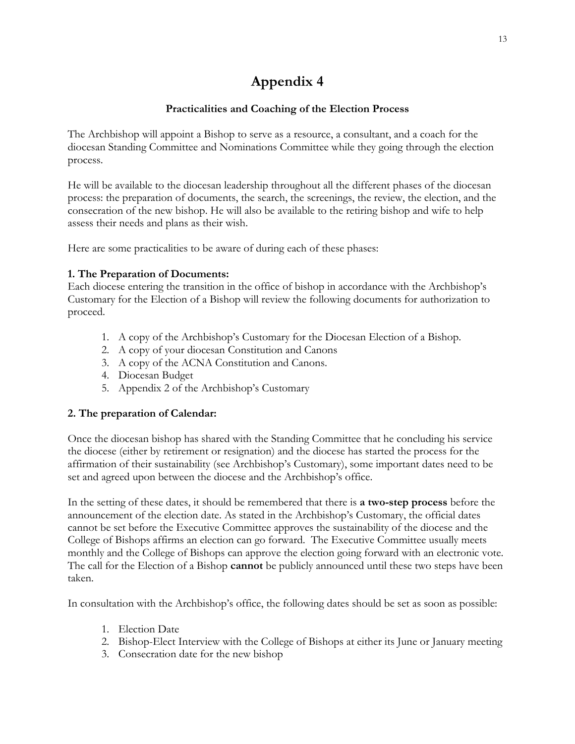# **Appendix 4**

### **Practicalities and Coaching of the Election Process**

The Archbishop will appoint a Bishop to serve as a resource, a consultant, and a coach for the diocesan Standing Committee and Nominations Committee while they going through the election process.

He will be available to the diocesan leadership throughout all the different phases of the diocesan process: the preparation of documents, the search, the screenings, the review, the election, and the consecration of the new bishop. He will also be available to the retiring bishop and wife to help assess their needs and plans as their wish.

Here are some practicalities to be aware of during each of these phases:

### **1. The Preparation of Documents:**

Each diocese entering the transition in the office of bishop in accordance with the Archbishop's Customary for the Election of a Bishop will review the following documents for authorization to proceed.

- 1. A copy of the Archbishop's Customary for the Diocesan Election of a Bishop.
- 2. A copy of your diocesan Constitution and Canons
- 3. A copy of the ACNA Constitution and Canons.
- 4. Diocesan Budget
- 5. Appendix 2 of the Archbishop's Customary

### **2. The preparation of Calendar:**

Once the diocesan bishop has shared with the Standing Committee that he concluding his service the diocese (either by retirement or resignation) and the diocese has started the process for the affirmation of their sustainability (see Archbishop's Customary), some important dates need to be set and agreed upon between the diocese and the Archbishop's office.

In the setting of these dates, it should be remembered that there is **a two-step process** before the announcement of the election date. As stated in the Archbishop's Customary, the official dates cannot be set before the Executive Committee approves the sustainability of the diocese and the College of Bishops affirms an election can go forward. The Executive Committee usually meets monthly and the College of Bishops can approve the election going forward with an electronic vote. The call for the Election of a Bishop **cannot** be publicly announced until these two steps have been taken.

In consultation with the Archbishop's office, the following dates should be set as soon as possible:

- 1. Election Date
- 2. Bishop-Elect Interview with the College of Bishops at either its June or January meeting
- 3. Consecration date for the new bishop